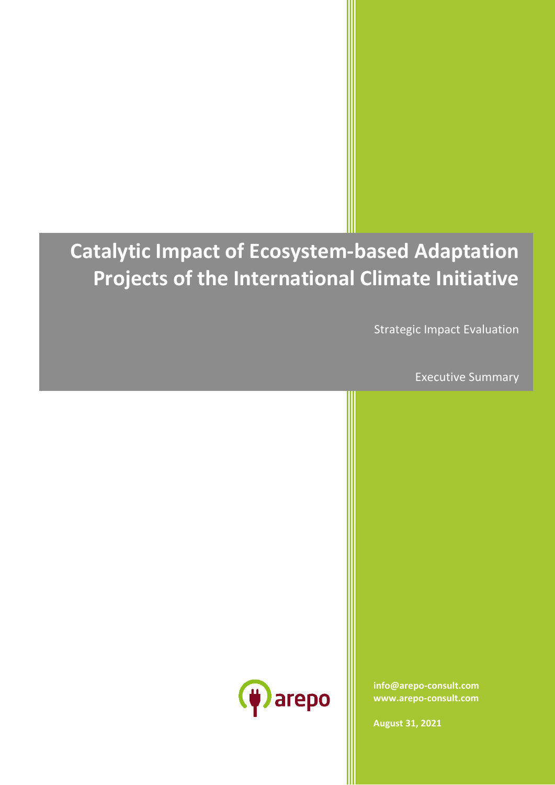# **Catalytic Impact of Ecosystem-based Adaptation Projects of the International Climate Initiative**

Strategic Impact Evaluation

Executive Summary



**[info@arepo-consult.com](mailto:info@arepo-consult.com) [www.arepo-consult.com](https://www.arepo-consult.com)**

**August 31, 2021**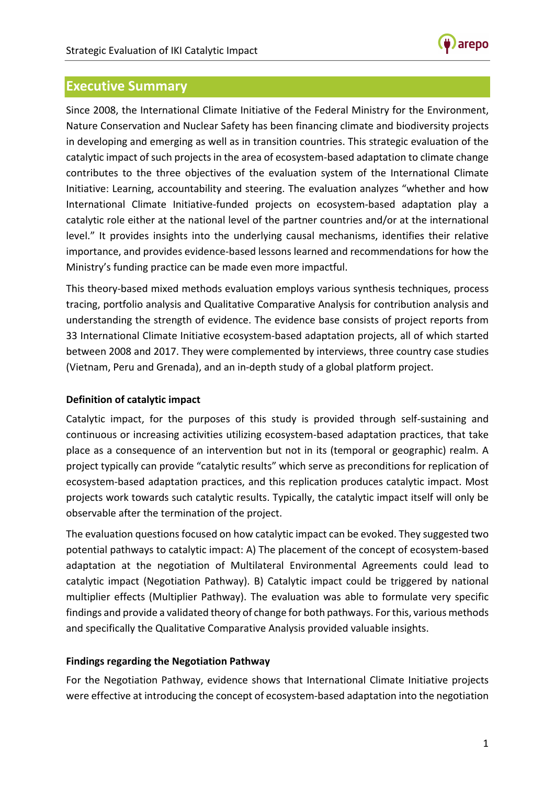

# **Executive Summary**

Since 2008, the International Climate Initiative of the Federal Ministry for the Environment, Nature Conservation and Nuclear Safety has been financing climate and biodiversity projects in developing and emerging as well as in transition countries. This strategic evaluation of the catalytic impact of such projects in the area of ecosystem-based adaptation to climate change contributes to the three objectives of the evaluation system of the International Climate Initiative: Learning, accountability and steering. The evaluation analyzes "whether and how International Climate Initiative-funded projects on ecosystem-based adaptation play a catalytic role either at the national level of the partner countries and/or at the international level." It provides insights into the underlying causal mechanisms, identifies their relative importance, and provides evidence-based lessons learned and recommendations for how the Ministry's funding practice can be made even more impactful.

This theory-based mixed methods evaluation employs various synthesis techniques, process tracing, portfolio analysis and Qualitative Comparative Analysis for contribution analysis and understanding the strength of evidence. The evidence base consists of project reports from 33 International Climate Initiative ecosystem-based adaptation projects, all of which started between 2008 and 2017. They were complemented by interviews, three country case studies (Vietnam, Peru and Grenada), and an in-depth study of a global platform project.

### **Definition of catalytic impact**

Catalytic impact, for the purposes of this study is provided through self-sustaining and continuous or increasing activities utilizing ecosystem-based adaptation practices, that take place as a consequence of an intervention but not in its (temporal or geographic) realm. A project typically can provide "catalytic results" which serve as preconditions for replication of ecosystem-based adaptation practices, and this replication produces catalytic impact. Most projects work towards such catalytic results. Typically, the catalytic impact itself will only be observable after the termination of the project.

The evaluation questions focused on how catalytic impact can be evoked. They suggested two potential pathways to catalytic impact: A) The placement of the concept of ecosystem-based adaptation at the negotiation of Multilateral Environmental Agreements could lead to catalytic impact (Negotiation Pathway). B) Catalytic impact could be triggered by national multiplier effects (Multiplier Pathway). The evaluation was able to formulate very specific findings and provide a validated theory of change for both pathways. For this, various methods and specifically the Qualitative Comparative Analysis provided valuable insights.

### **Findings regarding the Negotiation Pathway**

For the Negotiation Pathway, evidence shows that International Climate Initiative projects were effective at introducing the concept of ecosystem-based adaptation into the negotiation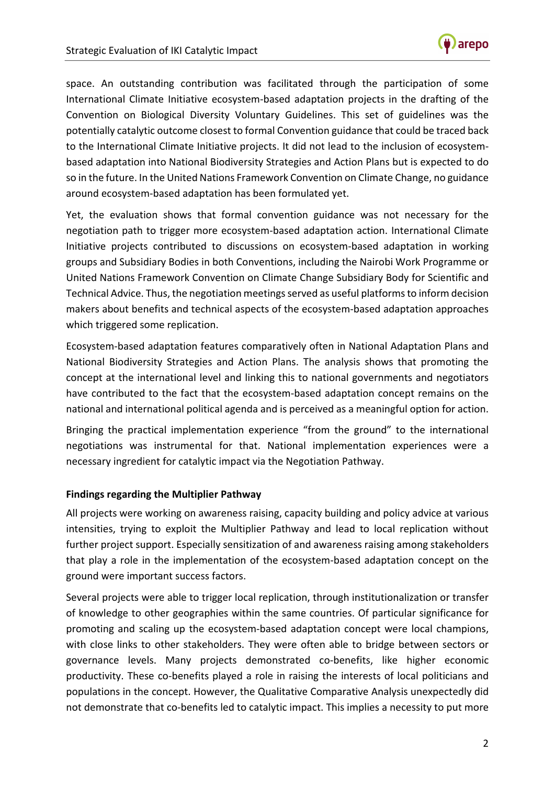

space. An outstanding contribution was facilitated through the participation of some International Climate Initiative ecosystem-based adaptation projects in the drafting of the Convention on Biological Diversity Voluntary Guidelines. This set of guidelines was the potentially catalytic outcome closest to formal Convention guidance that could be traced back to the International Climate Initiative projects. It did not lead to the inclusion of ecosystembased adaptation into National Biodiversity Strategies and Action Plans but is expected to do so in the future. In the United Nations Framework Convention on Climate Change, no guidance around ecosystem-based adaptation has been formulated yet.

Yet, the evaluation shows that formal convention guidance was not necessary for the negotiation path to trigger more ecosystem-based adaptation action. International Climate Initiative projects contributed to discussions on ecosystem-based adaptation in working groups and Subsidiary Bodies in both Conventions, including the Nairobi Work Programme or United Nations Framework Convention on Climate Change Subsidiary Body for Scientific and Technical Advice. Thus, the negotiation meetings served as useful platforms to inform decision makers about benefits and technical aspects of the ecosystem-based adaptation approaches which triggered some replication.

Ecosystem-based adaptation features comparatively often in National Adaptation Plans and National Biodiversity Strategies and Action Plans. The analysis shows that promoting the concept at the international level and linking this to national governments and negotiators have contributed to the fact that the ecosystem-based adaptation concept remains on the national and international political agenda and is perceived as a meaningful option for action.

Bringing the practical implementation experience "from the ground" to the international negotiations was instrumental for that. National implementation experiences were a necessary ingredient for catalytic impact via the Negotiation Pathway.

### **Findings regarding the Multiplier Pathway**

All projects were working on awareness raising, capacity building and policy advice at various intensities, trying to exploit the Multiplier Pathway and lead to local replication without further project support. Especially sensitization of and awareness raising among stakeholders that play a role in the implementation of the ecosystem-based adaptation concept on the ground were important success factors.

Several projects were able to trigger local replication, through institutionalization or transfer of knowledge to other geographies within the same countries. Of particular significance for promoting and scaling up the ecosystem-based adaptation concept were local champions, with close links to other stakeholders. They were often able to bridge between sectors or governance levels. Many projects demonstrated co-benefits, like higher economic productivity. These co-benefits played a role in raising the interests of local politicians and populations in the concept. However, the Qualitative Comparative Analysis unexpectedly did not demonstrate that co-benefits led to catalytic impact. This implies a necessity to put more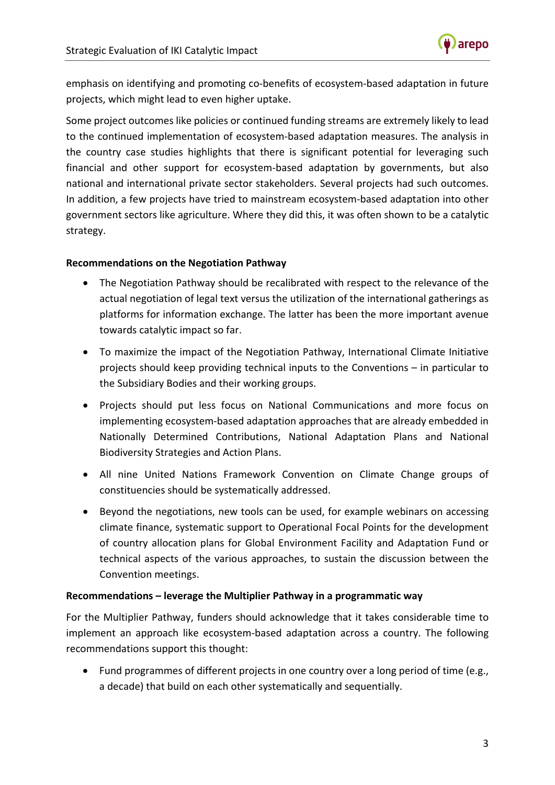

emphasis on identifying and promoting co-benefits of ecosystem-based adaptation in future projects, which might lead to even higher uptake.

Some project outcomes like policies or continued funding streams are extremely likely to lead to the continued implementation of ecosystem-based adaptation measures. The analysis in the country case studies highlights that there is significant potential for leveraging such financial and other support for ecosystem-based adaptation by governments, but also national and international private sector stakeholders. Several projects had such outcomes. In addition, a few projects have tried to mainstream ecosystem-based adaptation into other government sectors like agriculture. Where they did this, it was often shown to be a catalytic strategy.

#### **Recommendations on the Negotiation Pathway**

- The Negotiation Pathway should be recalibrated with respect to the relevance of the actual negotiation of legal text versus the utilization of the international gatherings as platforms for information exchange. The latter has been the more important avenue towards catalytic impact so far.
- To maximize the impact of the Negotiation Pathway, International Climate Initiative projects should keep providing technical inputs to the Conventions – in particular to the Subsidiary Bodies and their working groups.
- Projects should put less focus on National Communications and more focus on implementing ecosystem-based adaptation approaches that are already embedded in Nationally Determined Contributions, National Adaptation Plans and National Biodiversity Strategies and Action Plans.
- All nine United Nations Framework Convention on Climate Change groups of constituencies should be systematically addressed.
- Beyond the negotiations, new tools can be used, for example webinars on accessing climate finance, systematic support to Operational Focal Points for the development of country allocation plans for Global Environment Facility and Adaptation Fund or technical aspects of the various approaches, to sustain the discussion between the Convention meetings.

### **Recommendations – leverage the Multiplier Pathway in a programmatic way**

For the Multiplier Pathway, funders should acknowledge that it takes considerable time to implement an approach like ecosystem-based adaptation across a country. The following recommendations support this thought:

• Fund programmes of different projects in one country over a long period of time (e.g., a decade) that build on each other systematically and sequentially.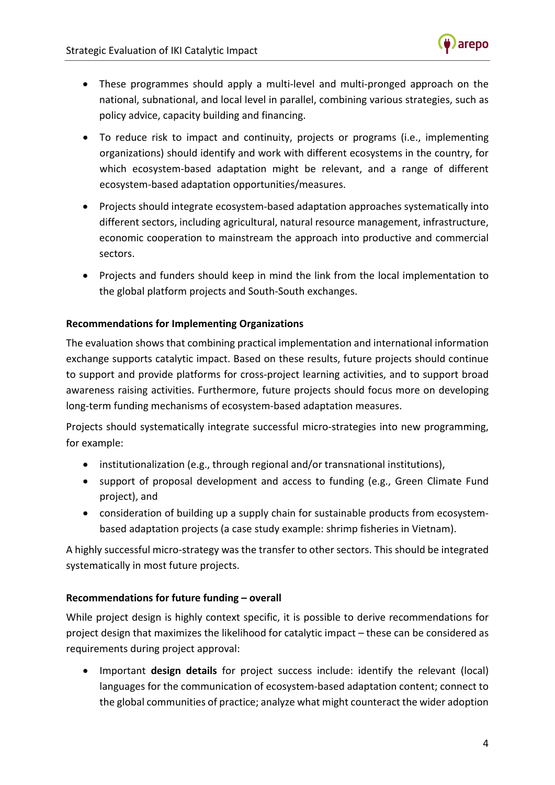

- These programmes should apply a multi-level and multi-pronged approach on the national, subnational, and local level in parallel, combining various strategies, such as policy advice, capacity building and financing.
- To reduce risk to impact and continuity, projects or programs (i.e., implementing organizations) should identify and work with different ecosystems in the country, for which ecosystem-based adaptation might be relevant, and a range of different ecosystem-based adaptation opportunities/measures.
- Projects should integrate ecosystem-based adaptation approaches systematically into different sectors, including agricultural, natural resource management, infrastructure, economic cooperation to mainstream the approach into productive and commercial sectors.
- Projects and funders should keep in mind the link from the local implementation to the global platform projects and South-South exchanges.

# **Recommendations for Implementing Organizations**

The evaluation shows that combining practical implementation and international information exchange supports catalytic impact. Based on these results, future projects should continue to support and provide platforms for cross-project learning activities, and to support broad awareness raising activities. Furthermore, future projects should focus more on developing long-term funding mechanisms of ecosystem-based adaptation measures.

Projects should systematically integrate successful micro-strategies into new programming, for example:

- institutionalization (e.g., through regional and/or transnational institutions),
- support of proposal development and access to funding (e.g., Green Climate Fund project), and
- consideration of building up a supply chain for sustainable products from ecosystembased adaptation projects (a case study example: shrimp fisheries in Vietnam).

A highly successful micro-strategy was the transfer to other sectors. This should be integrated systematically in most future projects.

### **Recommendations for future funding – overall**

While project design is highly context specific, it is possible to derive recommendations for project design that maximizes the likelihood for catalytic impact – these can be considered as requirements during project approval:

• Important **design details** for project success include: identify the relevant (local) languages for the communication of ecosystem-based adaptation content; connect to the global communities of practice; analyze what might counteract the wider adoption